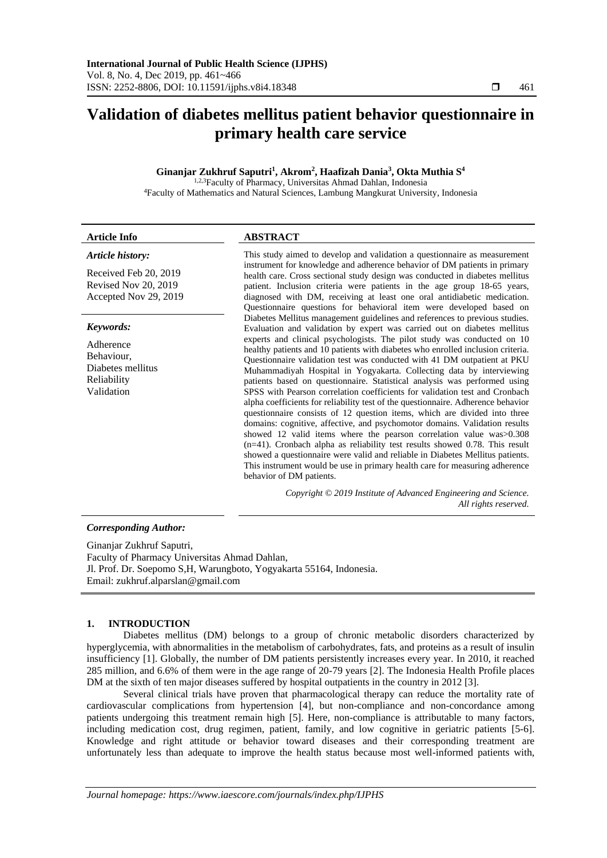# **Validation of diabetes mellitus patient behavior questionnaire in primary health care service**

## **Ginanjar Zukhruf Saputri<sup>1</sup> , Akrom<sup>2</sup> , Haafizah Dania<sup>3</sup> , Okta Muthia S<sup>4</sup>**

<sup>1,2,3</sup>Faculty of Pharmacy, Universitas Ahmad Dahlan, Indonesia <sup>4</sup>Faculty of Mathematics and Natural Sciences, Lambung Mangkurat University, Indonesia

#### **Article Info ABSTRACT**  *Article history:* Received Feb 20, 2019 Revised Nov 20, 2019 Accepted Nov 29, 2019 This study aimed to develop and validation a questionnaire as measurement instrument for knowledge and adherence behavior of DM patients in primary health care. Cross sectional study design was conducted in diabetes mellitus patient. Inclusion criteria were patients in the age group 18-65 years, diagnosed with DM, receiving at least one oral antidiabetic medication. Questionnaire questions for behavioral item were developed based on Diabetes Mellitus management guidelines and references to previous studies. Evaluation and validation by expert was carried out on diabetes mellitus experts and clinical psychologists. The pilot study was conducted on 10 healthy patients and 10 patients with diabetes who enrolled inclusion criteria. Questionnaire validation test was conducted with 41 DM outpatient at PKU Muhammadiyah Hospital in Yogyakarta. Collecting data by interviewing patients based on questionnaire. Statistical analysis was performed using SPSS with Pearson correlation coefficients for validation test and Cronbach alpha coefficients for reliability test of the questionnaire. Adherence behavior questionnaire consists of 12 question items, which are divided into three domains: cognitive, affective, and psychomotor domains. Validation results showed 12 valid items where the pearson correlation value was>0.308 (n=41). Cronbach alpha as reliability test results showed 0.78. This result showed a questionnaire were valid and reliable in Diabetes Mellitus patients. This instrument would be use in primary health care for measuring adherence behavior of DM patients. *Keywords:* Adherence Behaviour, Diabetes mellitus Reliability Validation *Copyright © 2019 Institute of Advanced Engineering and Science. All rights reserved.*

## *Corresponding Author:*

Ginanjar Zukhruf Saputri, Faculty of Pharmacy Universitas Ahmad Dahlan, Jl. Prof. Dr. Soepomo S,H, Warungboto, Yogyakarta 55164, Indonesia. Email: zukhruf.alparslan@gmail.com

## **1. INTRODUCTION**

Diabetes mellitus (DM) belongs to a group of chronic metabolic disorders characterized by hyperglycemia, with abnormalities in the metabolism of carbohydrates, fats, and proteins as a result of insulin insufficiency [1]. Globally, the number of DM patients persistently increases every year. In 2010, it reached 285 million, and 6.6% of them were in the age range of 20-79 years [2]. The Indonesia Health Profile places DM at the sixth of ten major diseases suffered by hospital outpatients in the country in 2012 [3].

Several clinical trials have proven that pharmacological therapy can reduce the mortality rate of cardiovascular complications from hypertension [4], but non-compliance and non-concordance among patients undergoing this treatment remain high [5]. Here, non-compliance is attributable to many factors, including medication cost, drug regimen, patient, family, and low cognitive in geriatric patients [5-6]. Knowledge and right attitude or behavior toward diseases and their corresponding treatment are unfortunately less than adequate to improve the health status because most well-informed patients with,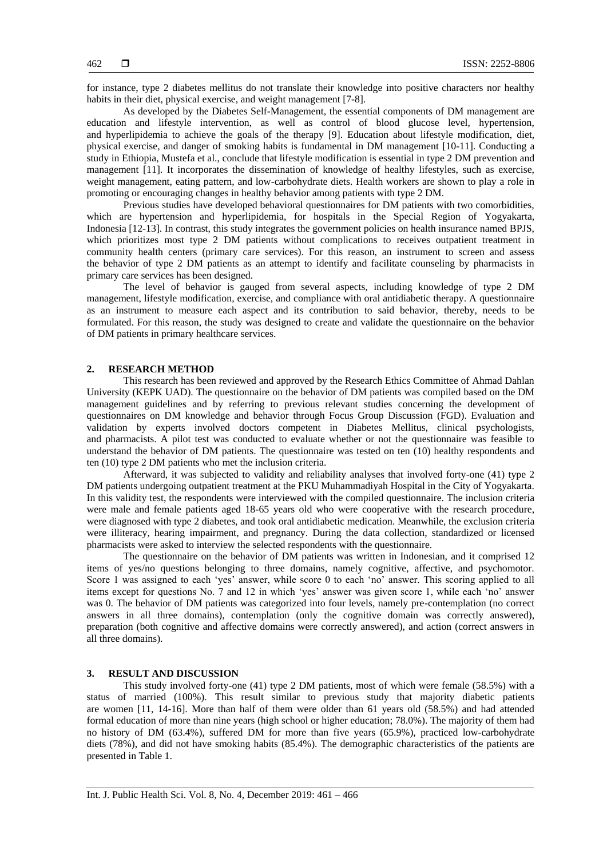for instance, type 2 diabetes mellitus do not translate their knowledge into positive characters nor healthy habits in their diet, physical exercise, and weight management [7-8].

As developed by the Diabetes Self-Management, the essential components of DM management are education and lifestyle intervention, as well as control of blood glucose level, hypertension, and hyperlipidemia to achieve the goals of the therapy [9]. Education about lifestyle modification, diet, physical exercise, and danger of smoking habits is fundamental in DM management [10-11]. Conducting a study in Ethiopia, Mustefa et al., conclude that lifestyle modification is essential in type 2 DM prevention and management [11]. It incorporates the dissemination of knowledge of healthy lifestyles, such as exercise, weight management, eating pattern, and low-carbohydrate diets. Health workers are shown to play a role in promoting or encouraging changes in healthy behavior among patients with type 2 DM.

Previous studies have developed behavioral questionnaires for DM patients with two comorbidities, which are hypertension and hyperlipidemia, for hospitals in the Special Region of Yogyakarta, Indonesia [12-13]. In contrast, this study integrates the government policies on health insurance named BPJS, which prioritizes most type 2 DM patients without complications to receives outpatient treatment in community health centers (primary care services). For this reason, an instrument to screen and assess the behavior of type 2 DM patients as an attempt to identify and facilitate counseling by pharmacists in primary care services has been designed.

The level of behavior is gauged from several aspects, including knowledge of type 2 DM management, lifestyle modification, exercise, and compliance with oral antidiabetic therapy. A questionnaire as an instrument to measure each aspect and its contribution to said behavior, thereby, needs to be formulated. For this reason, the study was designed to create and validate the questionnaire on the behavior of DM patients in primary healthcare services.

#### **2. RESEARCH METHOD**

This research has been reviewed and approved by the Research Ethics Committee of Ahmad Dahlan University (KEPK UAD). The questionnaire on the behavior of DM patients was compiled based on the DM management guidelines and by referring to previous relevant studies concerning the development of questionnaires on DM knowledge and behavior through Focus Group Discussion (FGD). Evaluation and validation by experts involved doctors competent in Diabetes Mellitus, clinical psychologists, and pharmacists. A pilot test was conducted to evaluate whether or not the questionnaire was feasible to understand the behavior of DM patients. The questionnaire was tested on ten (10) healthy respondents and ten (10) type 2 DM patients who met the inclusion criteria.

Afterward, it was subjected to validity and reliability analyses that involved forty-one (41) type 2 DM patients undergoing outpatient treatment at the PKU Muhammadiyah Hospital in the City of Yogyakarta. In this validity test, the respondents were interviewed with the compiled questionnaire. The inclusion criteria were male and female patients aged 18-65 years old who were cooperative with the research procedure, were diagnosed with type 2 diabetes, and took oral antidiabetic medication. Meanwhile, the exclusion criteria were illiteracy, hearing impairment, and pregnancy. During the data collection, standardized or licensed pharmacists were asked to interview the selected respondents with the questionnaire.

The questionnaire on the behavior of DM patients was written in Indonesian, and it comprised 12 items of yes/no questions belonging to three domains, namely cognitive, affective, and psychomotor. Score 1 was assigned to each 'yes' answer, while score 0 to each 'no' answer. This scoring applied to all items except for questions No. 7 and 12 in which 'yes' answer was given score 1, while each 'no' answer was 0. The behavior of DM patients was categorized into four levels, namely pre-contemplation (no correct answers in all three domains), contemplation (only the cognitive domain was correctly answered), preparation (both cognitive and affective domains were correctly answered), and action (correct answers in all three domains).

## **3. RESULT AND DISCUSSION**

This study involved forty-one (41) type 2 DM patients, most of which were female (58.5%) with a status of married (100%). This result similar to previous study that majority diabetic patients are women  $[11, 14-16]$ . More than half of them were older than 61 years old (58.5%) and had attended formal education of more than nine years (high school or higher education; 78.0%). The majority of them had no history of DM (63.4%), suffered DM for more than five years (65.9%), practiced low-carbohydrate diets (78%), and did not have smoking habits (85.4%). The demographic characteristics of the patients are presented in Table 1.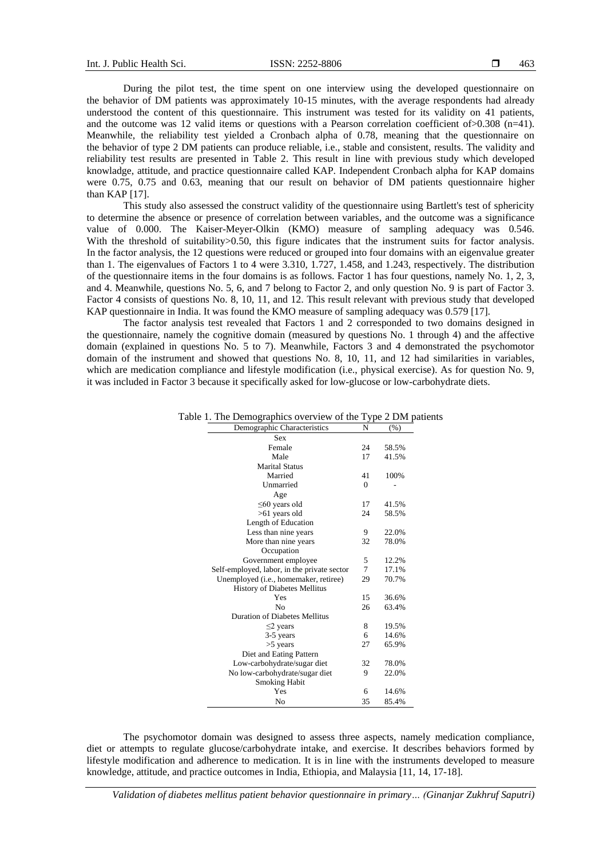During the pilot test, the time spent on one interview using the developed questionnaire on the behavior of DM patients was approximately 10-15 minutes, with the average respondents had already understood the content of this questionnaire. This instrument was tested for its validity on 41 patients, and the outcome was 12 valid items or questions with a Pearson correlation coefficient of  $> 0.308$  (n=41). Meanwhile, the reliability test yielded a Cronbach alpha of 0.78, meaning that the questionnaire on the behavior of type 2 DM patients can produce reliable, i.e., stable and consistent, results. The validity and reliability test results are presented in Table 2. This result in line with previous study which developed knowladge, attitude, and practice questionnaire called KAP. Independent Cronbach alpha for KAP domains were 0.75, 0.75 and 0.63, meaning that our result on behavior of DM patients questionnaire higher than KAP [17].

This study also assessed the construct validity of the questionnaire using Bartlett's test of sphericity to determine the absence or presence of correlation between variables, and the outcome was a significance value of 0.000. The Kaiser-Meyer-Olkin (KMO) measure of sampling adequacy was 0.546. With the threshold of suitability > 0.50, this figure indicates that the instrument suits for factor analysis. In the factor analysis, the 12 questions were reduced or grouped into four domains with an eigenvalue greater than 1. The eigenvalues of Factors 1 to 4 were 3.310, 1.727, 1.458, and 1.243, respectively. The distribution of the questionnaire items in the four domains is as follows. Factor 1 has four questions, namely No. 1, 2, 3, and 4. Meanwhile, questions No. 5, 6, and 7 belong to Factor 2, and only question No. 9 is part of Factor 3. Factor 4 consists of questions No. 8, 10, 11, and 12. This result relevant with previous study that developed KAP questionnaire in India. It was found the KMO measure of sampling adequacy was 0.579 [17].

The factor analysis test revealed that Factors 1 and 2 corresponded to two domains designed in the questionnaire, namely the cognitive domain (measured by questions No. 1 through 4) and the affective domain (explained in questions No. 5 to 7). Meanwhile, Factors 3 and 4 demonstrated the psychomotor domain of the instrument and showed that questions No. 8, 10, 11, and 12 had similarities in variables, which are medication compliance and lifestyle modification (i.e., physical exercise). As for question No. 9, it was included in Factor 3 because it specifically asked for low-glucose or low-carbohydrate diets.

| Demographic Characteristics                 | N        | (% )  |
|---------------------------------------------|----------|-------|
| Sex                                         |          |       |
| Female                                      | 24       | 58.5% |
| Male                                        | 17       | 41.5% |
| <b>Marital Status</b>                       |          |       |
| Married                                     | 41       | 100%  |
| Unmarried                                   | $\Omega$ |       |
| Age                                         |          |       |
| $\leq 60$ years old                         | 17       | 41.5% |
| $>61$ years old                             | 24       | 58.5% |
| Length of Education                         |          |       |
| Less than nine years                        | 9        | 22.0% |
| More than nine years                        | 32       | 78.0% |
| Occupation                                  |          |       |
| Government employee                         | 5        | 12.2% |
| Self-employed, labor, in the private sector | 7        | 17.1% |
| Unemployed (i.e., homemaker, retiree)       | 29       | 70.7% |
| History of Diabetes Mellitus                |          |       |
| Yes                                         | 15       | 36.6% |
| N <sub>0</sub>                              | 26       | 63.4% |
| Duration of Diabetes Mellitus               |          |       |
| $\leq$ 2 years                              | 8        | 19.5% |
| 3-5 years                                   | 6        | 14.6% |
| $>5$ years                                  | 27       | 65.9% |
| Diet and Eating Pattern                     |          |       |
| Low-carbohydrate/sugar diet                 | 32       | 78.0% |
| No low-carbohydrate/sugar diet              | 9        | 22.0% |
| <b>Smoking Habit</b>                        |          |       |
| Yes                                         | 6        | 14.6% |
| No                                          | 35       | 85.4% |

Table 1. The Demographics overview of the Type 2 DM patients

The psychomotor domain was designed to assess three aspects, namely medication compliance, diet or attempts to regulate glucose/carbohydrate intake, and exercise. It describes behaviors formed by lifestyle modification and adherence to medication. It is in line with the instruments developed to measure knowledge, attitude, and practice outcomes in India, Ethiopia, and Malaysia [11, 14, 17-18].

*Validation of diabetes mellitus patient behavior questionnaire in primary… (Ginanjar Zukhruf Saputri)*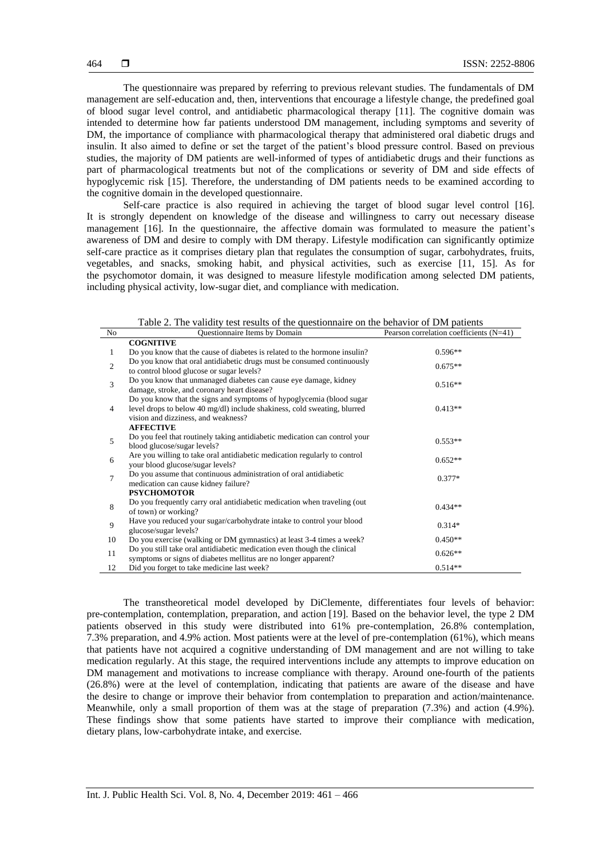The questionnaire was prepared by referring to previous relevant studies. The fundamentals of DM management are self-education and, then, interventions that encourage a lifestyle change, the predefined goal of blood sugar level control, and antidiabetic pharmacological therapy [11]. The cognitive domain was intended to determine how far patients understood DM management, including symptoms and severity of DM, the importance of compliance with pharmacological therapy that administered oral diabetic drugs and insulin. It also aimed to define or set the target of the patient's blood pressure control. Based on previous studies, the majority of DM patients are well-informed of types of antidiabetic drugs and their functions as part of pharmacological treatments but not of the complications or severity of DM and side effects of hypoglycemic risk [15]. Therefore, the understanding of DM patients needs to be examined according to the cognitive domain in the developed questionnaire.

Self-care practice is also required in achieving the target of blood sugar level control [16]. It is strongly dependent on knowledge of the disease and willingness to carry out necessary disease management [16]. In the questionnaire, the affective domain was formulated to measure the patient's awareness of DM and desire to comply with DM therapy. Lifestyle modification can significantly optimize self-care practice as it comprises dietary plan that regulates the consumption of sugar, carbohydrates, fruits, vegetables, and snacks, smoking habit, and physical activities, such as exercise [11, 15]. As for the psychomotor domain, it was designed to measure lifestyle modification among selected DM patients, including physical activity, low-sugar diet, and compliance with medication.

| No             | Questionnaire Items by Domain                                                                                                                                                                               | Pearson correlation coefficients $(N=41)$ |
|----------------|-------------------------------------------------------------------------------------------------------------------------------------------------------------------------------------------------------------|-------------------------------------------|
|                | <b>COGNITIVE</b>                                                                                                                                                                                            |                                           |
| 1              | Do you know that the cause of diabetes is related to the hormone insulin?                                                                                                                                   | $0.596**$                                 |
| $\overline{2}$ | Do you know that oral antidiabetic drugs must be consumed continuously<br>to control blood glucose or sugar levels?                                                                                         | $0.675**$                                 |
| 3              | Do you know that unmanaged diabetes can cause eye damage, kidney<br>damage, stroke, and coronary heart disease?                                                                                             | $0.516**$                                 |
| 4              | Do you know that the signs and symptoms of hypoglycemia (blood sugar<br>level drops to below 40 mg/dl) include shakiness, cold sweating, blurred<br>vision and dizziness, and weakness?<br><b>AFFECTIVE</b> | $0.413**$                                 |
| 5              | Do you feel that routinely taking antidiabetic medication can control your<br>blood glucose/sugar levels?                                                                                                   | $0.553**$                                 |
| 6              | Are you willing to take oral antidiabetic medication regularly to control<br>your blood glucose/sugar levels?                                                                                               | $0.652**$                                 |
| 7              | Do you assume that continuous administration of oral antidiabetic<br>medication can cause kidney failure?                                                                                                   | $0.377*$                                  |
|                | <b>PSYCHOMOTOR</b>                                                                                                                                                                                          |                                           |
| 8              | Do you frequently carry oral antidiabetic medication when traveling (out)<br>of town) or working?                                                                                                           | $0.434**$                                 |
| 9              | Have you reduced your sugar/carbohydrate intake to control your blood<br>glucose/sugar levels?                                                                                                              | $0.314*$                                  |
| 10             | Do you exercise (walking or DM gymnastics) at least 3-4 times a week?                                                                                                                                       | $0.450**$                                 |
| 11             | Do you still take oral antidiabetic medication even though the clinical<br>symptoms or signs of diabetes mellitus are no longer apparent?                                                                   | $0.626**$                                 |
| 12             | Did you forget to take medicine last week?                                                                                                                                                                  | $0.514**$                                 |

Table 2. The validity test results of the questionnaire on the behavior of DM patients

The transtheoretical model developed by DiClemente, differentiates four levels of behavior: pre-contemplation, contemplation, preparation, and action [19]. Based on the behavior level, the type 2 DM patients observed in this study were distributed into 61% pre-contemplation, 26.8% contemplation, 7.3% preparation, and 4.9% action. Most patients were at the level of pre-contemplation (61%), which means that patients have not acquired a cognitive understanding of DM management and are not willing to take medication regularly. At this stage, the required interventions include any attempts to improve education on DM management and motivations to increase compliance with therapy. Around one-fourth of the patients (26.8%) were at the level of contemplation, indicating that patients are aware of the disease and have the desire to change or improve their behavior from contemplation to preparation and action/maintenance. Meanwhile, only a small proportion of them was at the stage of preparation (7.3%) and action (4.9%). These findings show that some patients have started to improve their compliance with medication, dietary plans, low-carbohydrate intake, and exercise.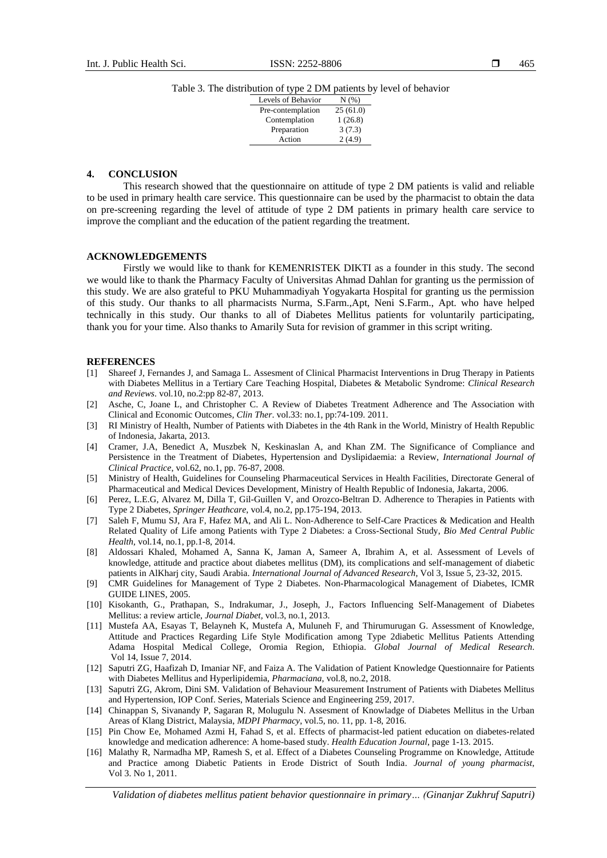Table 3. The distribution of type 2 DM patients by level of behavior

| Levels of Behavior | $N(\%)$  |
|--------------------|----------|
| Pre-contemplation  | 25(61.0) |
| Contemplation      | 1(26.8)  |
| Preparation        | 3(7.3)   |
| Action             | 2(4.9)   |
|                    |          |

### **4. CONCLUSION**

This research showed that the questionnaire on attitude of type 2 DM patients is valid and reliable to be used in primary health care service. This questionnaire can be used by the pharmacist to obtain the data on pre-screening regarding the level of attitude of type 2 DM patients in primary health care service to improve the compliant and the education of the patient regarding the treatment.

#### **ACKNOWLEDGEMENTS**

Firstly we would like to thank for KEMENRISTEK DIKTI as a founder in this study. The second we would like to thank the Pharmacy Faculty of Universitas Ahmad Dahlan for granting us the permission of this study. We are also grateful to PKU Muhammadiyah Yogyakarta Hospital for granting us the permission of this study. Our thanks to all pharmacists Nurma, S.Farm.,Apt, Neni S.Farm., Apt. who have helped technically in this study. Our thanks to all of Diabetes Mellitus patients for voluntarily participating, thank you for your time. Also thanks to Amarily Suta for revision of grammer in this script writing.

#### **REFERENCES**

- [1] Shareef J, Fernandes J, and Samaga L. Assesment of Clinical Pharmacist Interventions in Drug Therapy in Patients with Diabetes Mellitus in a Tertiary Care Teaching Hospital, Diabetes & Metabolic Syndrome: *Clinical Research and Reviews*. vol.10, no.2:pp 82-87, 2013.
- [2] Asche, C, Joane L, and Christopher C. A Review of Diabetes Treatment Adherence and The Association with Clinical and Economic Outcomes*, Clin Ther*. vol.33: no.1, pp:74-109. 2011.
- [3] RI Ministry of Health, Number of Patients with Diabetes in the 4th Rank in the World, Ministry of Health Republic of Indonesia, Jakarta, 2013.
- [4] Cramer, J.A, Benedict A, Muszbek N, Keskinaslan A, and Khan ZM. The Significance of Compliance and Persistence in the Treatment of Diabetes, Hypertension and Dyslipidaemia: a Review, *International Journal of Clinical Practice*, vol.62, no.1, pp. 76-87, 2008.
- [5] Ministry of Health, Guidelines for Counseling Pharmaceutical Services in Health Facilities, Directorate General of Pharmaceutical and Medical Devices Development, Ministry of Health Republic of Indonesia, Jakarta, 2006.
- [6] Perez, L.E.G, Alvarez M, Dilla T, Gil-Guillen V, and Orozco-Beltran D. Adherence to Therapies in Patients with Type 2 Diabetes, *Springer Heathcare*, vol.4, no.2, pp.175-194, 2013.
- [7] Saleh F, Mumu SJ, Ara F, Hafez MA, and Ali L. Non-Adherence to Self-Care Practices & Medication and Health Related Quality of Life among Patients with Type 2 Diabetes: a Cross-Sectional Study, *Bio Med Central Public Health,* vol.14, no.1, pp.1-8, 2014.
- [8] Aldossari Khaled, Mohamed A, Sanna K, Jaman A, Sameer A, Ibrahim A, et al. Assessment of Levels of knowledge, attitude and practice about diabetes mellitus (DM), its complications and self-management of diabetic patients in AlKharj city, Saudi Arabia. *International Journal of Advanced Research*, Vol 3, Issue 5, 23-32, 2015.
- [9] CMR Guidelines for Management of Type 2 Diabetes. Non-Pharmacological Management of Diabetes, ICMR GUIDE LINES, 2005.
- [10] Kisokanth, G., Prathapan, S., Indrakumar, J., Joseph, J., Factors Influencing Self-Management of Diabetes Mellitus: a review article, *Journal Diabet,* vol.3, no.1, 2013.
- [11] Mustefa AA, Esayas T, Belayneh K, Mustefa A, Muluneh F, and Thirumurugan G. Assessment of Knowledge, Attitude and Practices Regarding Life Style Modification among Type 2diabetic Mellitus Patients Attending Adama Hospital Medical College, Oromia Region, Ethiopia. *Global Journal of Medical Research*. Vol 14, Issue 7, 2014.
- [12] Saputri ZG, Haafizah D, Imaniar NF, and Faiza A. The Validation of Patient Knowledge Questionnaire for Patients with Diabetes Mellitus and Hyperlipidemia, *Pharmaciana*, vol.8, no.2, 2018.
- [13] Saputri ZG, Akrom, Dini SM. Validation of Behaviour Measurement Instrument of Patients with Diabetes Mellitus and Hypertension, IOP Conf. Series, Materials Science and Engineering 259, 2017.
- [14] Chinappan S, Sivanandy P, Sagaran R, Molugulu N. Assesment of Knowladge of Diabetes Mellitus in the Urban Areas of Klang District, Malaysia, *MDPI Pharmacy*, vol.5, no. 11, pp. 1-8, 2016.
- [15] Pin Chow Ee, Mohamed Azmi H, Fahad S, et al. Effects of pharmacist-led patient education on diabetes-related knowledge and medication adherence: A home-based study. *Health Education Journal*, page 1-13. 2015.
- [16] Malathy R, Narmadha MP, Ramesh S, et al. Effect of a Diabetes Counseling Programme on Knowledge, Attitude and Practice among Diabetic Patients in Erode District of South India. *Journal of young pharmacist*, Vol 3. No 1, 2011.

*Validation of diabetes mellitus patient behavior questionnaire in primary… (Ginanjar Zukhruf Saputri)*